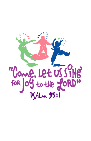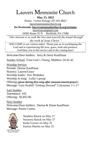# Lauvers Mennonite Church

**May 15, 2022**

Pastor: Curtiss Kanagy 207.431.8825 [lauversmennonitechurch.org](http://www.lauversmennonitechurch.org/)

**for livestream: lauversmennonitechurch.org/sermons**

[lauversmc@gmail.com](mailto:lauversmc@gmail.com)

34585 Route 35 N Richfield, PA 17086

*"Our mission is to seek the lost and nourish the found through the work of Jesus Christ."*

WELCOME to our visitors today! Please join us in worshipping the Lord and in experiencing His love, grace, truth and presence. God bless you in this service and in the coming days!

Welcome/Door holders: Jerry & Doris Kauffman

Sunday School: *Trust God's Timing,* Matthew 24:32-41

Worship Service Prelude: Denise Kauffman Nursery: Lauren/Grace Worship leader: Eric Brubaker Worship in song: Lydia's group Offering *(given during first song after announcements/prayer)* Message: Gary Krabill "Getting Dressed" Colossians 3:1-17

Last Sunday Attendance: 103 Offering: \$2,855.00

**Next Sunday** Welcome/Door holders: Denise & Diane Kauffman Message: Pastor Curtiss



Stephen Ranck on May 17 Susanna Ranck on May 17 Katie Varner on May 21 Easton Martin on May 21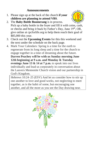## **Announcements**

1. Please sign up at the back of the church **if your children are planning to attend VBS**.



- 2. The **Baby Bottle Boomerang** is in process. Pick up a baby bottle in the foyer and fill it with coins, cash, or checks and bring it back by Father's Day, June 19th, OR, give online at cpcforlife.org to help them reach their goal of \$85,000 this year.
- 3. Check out the **Upcoming Events** for this this weekend and the next under the schedule on the back page.
- 4. Mark Your Calendars: Spring is a time for the earth to regenerate from its long sleep and a time for the church to engage together in a time of dreaming about the future. **Darren Peachey will be with us Sunday morning June 12th beginning at 9 a.m. and Monday & Tuesday evenings June 13 & 14 at 7 p.m.** to speak into our lives individually and lead us corporately in conversation about the Lauvers Mennonite Church vision and our partnership in God's Kingdom.

Hebrews 10:24–25 (ESV) And let us consider how to stir up one another to love and good works, not neglecting to meet together, as is the habit of some, but encouraging one another, and all the more as you see the Day drawing near.

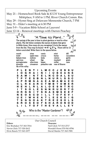Upcoming Events May 21 – Homeschool Book Sale & JCCH Young Entrepreneur Mrktplace, 9 AM to 1 PM, River Church Comm. Rm. May 29 – Hymn Sing at Delaware Mennonite Church, 7 PM May 31 – Elder's meeting at 6:30 PM June 5-9 – Vacation Bible School at Lauvers! June 12-14 – Renewal meetings with Darren Peachey ค P) "A Time to Plant. The spring of the year is time to plant gardens or tend to other Θ plants. The list below contains the names of plants that grew in Bible times. How many do you recognize? Circle the names Ø B from the list. They may be found  $\rightarrow \leftarrow \downarrow \uparrow \searrow$ . There will be 13 letters uncircled. Write them in the spaces below. ☜ myrrh aloes cassia mint dill lentil apple trees barley cucumbers crocus balsam trees melons leeks onions garlic oak trees wheat figs mustard grain olive trees pomegranates beans millet cane almonds cinnamon pistachio nuts rose of Sharon lily of the valley U Р L Е N т м С С J E в s G в E s ı о R A ı N ı ı υ A N s A м п N т Е L N с D A L sυ т P Y Е s в N г N U R L s s с A P R м G A A Е A м A м A Е O с L R Е A R с т м в т ом Е R н Е н R A Ο Е s N T R с L L L s п т s ο L Е N N R U D R т ο R N N ı Y s N A s мs Е Е F о L т Е v N Е о s с D L. L ο F. п Е W H Е Е s U п A т L Е κ L G т s N G о A κ т R Е Е s ٥ L s R s Е Ο F s н A R s ٥ ٥ N ٥ D Υ т E Е Υ L L Ο ν A L L Who is the "Master Gardener"? Our Church Council **Elders: Deacons:** Eric Brubaker 717-363-7014 Neil Glick 717-513-2717 Nevin Glick 717-320-2612 Wendell Horst 570-541-8784 Elvin Ranck 717-363-1077 David Martin 717-363-7081